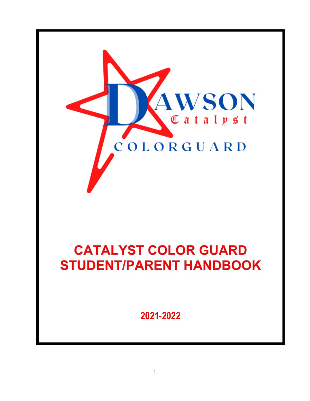

# **CATALYST COLOR GUARD STUDENT/PARENT HANDBOOK**

**2021-2022**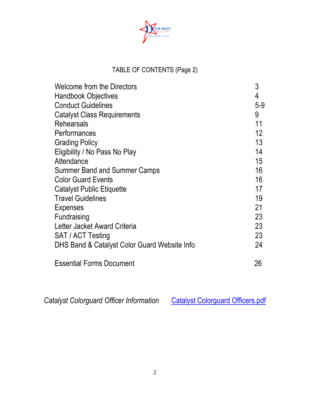

## TABLE OF CONTENTS (Page 2)

| <b>Welcome from the Directors</b>            | 3     |
|----------------------------------------------|-------|
| <b>Handbook Objectives</b>                   | 4     |
| <b>Conduct Guidelines</b>                    | $5-9$ |
| <b>Catalyst Class Requirements</b>           | 9     |
| <b>Rehearsals</b>                            | 11    |
| Performances                                 | 12    |
| <b>Grading Policy</b>                        | 13    |
| Eligibility / No Pass No Play                | 14    |
| Attendance                                   | 15    |
| Summer Band and Summer Camps                 | 16    |
| <b>Color Guard Events</b>                    | 16    |
| <b>Catalyst Public Etiquette</b>             | 17    |
| <b>Travel Guidelines</b>                     | 19    |
| <b>Expenses</b>                              | 21    |
| Fundraising                                  | 23    |
| Letter Jacket Award Criteria                 | 23    |
| SAT / ACT Testing                            | 23    |
| DHS Band & Catalyst Color Guard Website Info | 24    |
| <b>Essential Forms Document</b>              | 26    |

Catalyst Colorguard Officer Information [Catalyst Colorguard Officers.pdf](file:///C:/Users/gerlingn/Documents/Catalyst%20Colorguard%20Officers.pdf)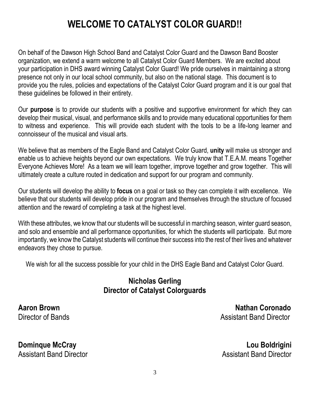# **WELCOME TO CATALYST COLOR GUARD!!**

On behalf of the Dawson High School Band and Catalyst Color Guard and the Dawson Band Booster organization, we extend a warm welcome to all Catalyst Color Guard Members. We are excited about your participation in DHS award winning Catalyst Color Guard! We pride ourselves in maintaining a strong presence not only in our local school community, but also on the national stage. This document is to provide you the rules, policies and expectations of the Catalyst Color Guard program and it is our goal that these guidelines be followed in their entirety.

Our **purpose** is to provide our students with a positive and supportive environment for which they can develop their musical, visual, and performance skills and to provide many educational opportunities for them to witness and experience. This will provide each student with the tools to be a life-long learner and connoisseur of the musical and visual arts.

We believe that as members of the Eagle Band and Catalyst Color Guard, **unity** will make us stronger and enable us to achieve heights beyond our own expectations. We truly know that T.E.A.M. means Together Everyone Achieves More! As a team we will learn together, improve together and grow together. This will ultimately create a culture routed in dedication and support for our program and community.

Our students will develop the ability to **focus** on a goal or task so they can complete it with excellence. We believe that our students will develop pride in our program and themselves through the structure of focused attention and the reward of completing a task at the highest level.

With these attributes, we know that our students will be successful in marching season, winter guard season, and solo and ensemble and all performance opportunities, for which the students will participate. But more importantly, we know the Catalyst students will continue their success into the rest of their lives and whatever endeavors they chose to pursue.

We wish for all the success possible for your child in the DHS Eagle Band and Catalyst Color Guard.

## **Nicholas Gerling Director of Catalyst Colorguards**

**Aaron Brown Nathan Coronado** Director of Bands **Assistant Band Director** 

**Dominque McCray Lou Boldrigini** Assistant Band Director **Assistant Band Director** Assistant Band Director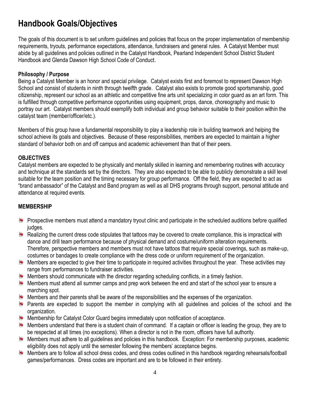## **Handbook Goals/Objectives**

The goals of this document is to set uniform guidelines and policies that focus on the proper implementation of membership requirements, tryouts, performance expectations, attendance, fundraisers and general rules. A Catalyst Member must abide by all guidelines and policies outlined in the Catalyst Handbook, Pearland Independent School District Student Handbook and Glenda Dawson High School Code of Conduct.

#### **Philosophy / Purpose**

Being a Catalyst Member is an honor and special privilege. Catalyst exists first and foremost to represent Dawson High School and consist of students in ninth through twelfth grade. Catalyst also exists to promote good sportsmanship, good citizenship, represent our school as an athletic and competitive fine arts unit specializing in color guard as an art form. This is fulfilled through competitive performance opportunities using equipment, props, dance, choreography and music to portray our art. Catalyst members should exemplify both individual and group behavior suitable to their position within the catalyst team (member/officer/etc.).

Members of this group have a fundamental responsibility to play a leadership role in building teamwork and helping the school achieve its goals and objectives. Because of these responsibilities, members are expected to maintain a higher standard of behavior both on and off campus and academic achievement than that of their peers.

#### **OBJECTIVES**

Catalyst members are expected to be physically and mentally skilled in learning and remembering routines with accuracy and technique at the standards set by the directors. They are also expected to be able to publicly demonstrate a skill level suitable for the team position and the timing necessary for group performance. Off the field, they are expected to act as "brand ambassador" of the Catalyst and Band program as well as all DHS programs through support, personal attitude and attendance at required events.

#### **MEMBERSHIP**

- **Prospective members must attend a mandatory tryout clinic and participate in the scheduled auditions before qualified** judges.
- Realizing the current dress code stipulates that tattoos may be covered to create compliance, this is impractical with dance and drill team performance because of physical demand and costume/uniform alteration requirements. Therefore, perspective members and members must not have tattoos that require special coverings, such as make-up, costumes or bandages to create compliance with the dress code or uniform requirement of the organization.
- E. Members are expected to give their time to participate in required activities throughout the year. These activities may range from performances to fundraiser activities.
- Members should communicate with the director regarding scheduling conflicts, in a timely fashion. E.
- 聖 Members must attend all summer camps and prep work between the end and start of the school year to ensure a marching spot.
- **Members and their parents shall be aware of the responsibilities and the expenses of the organization.**
- E. Parents are expected to support the member in complying with all guidelines and policies of the school and the organization.
- **Membership for Catalyst Color Guard begins immediately upon notification of acceptance.**
- 聖 Members understand that there is a student chain of command. If a captain or officer is leading the group, they are to be respected at all times (no exceptions). When a director is not in the room, officers have full authority.
- **Members must adhere to all guidelines and policies in this handbook. Exception: For membership purposes, academic** eligibility does not apply until the semester following the members' acceptance begins.
- Members are to follow all school dress codes, and dress codes outlined in this handbook regarding rehearsals/football games/performances. Dress codes are important and are to be followed in their entirety.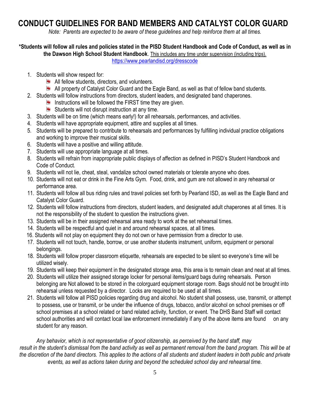## **CONDUCT GUIDELINES FOR BAND MEMBERS AND CATALYST COLOR GUARD**

*Note: Parents are expected to be aware of these guidelines and help reinforce them at all times.*

**\*Students will follow all rules and policies stated in the PISD Student Handbook and Code of Conduct, as well as in** 

**the Dawson High School Student Handbook**. This includes any time under supervision (including trips).

<https://www.pearlandisd.org/dresscode>

- 1. Students will show respect for:
	- **All fellow students, directors, and volunteers.**
	- **All property of Catalyst Color Guard and the Eagle Band, as well as that of fellow band students.**
- 2. Students will follow instructions from directors, student leaders, and designated band chaperones.
	- Instructions will be followed the FIRST time they are given.
	- Students will not disrupt instruction at any time.
- 3. Students will be on time (which means early!) for all rehearsals, performances, and activities.
- 4. Students will have appropriate equipment, attire and supplies at all times.
- 5. Students will be prepared to contribute to rehearsals and performances by fulfilling individual practice obligations and working to improve their musical skills.
- 6. Students will have a positive and willing attitude.
- 7. Students will use appropriate language at all times.
- 8. Students will refrain from inappropriate public displays of affection as defined in PISD's Student Handbook and Code of Conduct.
- 9. Students will not lie, cheat, steal, vandalize school owned materials or tolerate anyone who does.
- 10. Students will not eat or drink in the Fine Arts Gym. Food, drink, and gum are not allowed in any rehearsal or performance area.
- 11. Students will follow all bus riding rules and travel policies set forth by Pearland ISD, as well as the Eagle Band and Catalyst Color Guard.
- 12. Students will follow instructions from directors, student leaders, and designated adult chaperones at all times. It is not the responsibility of the student to question the instructions given.
- 13. Students will be in their assigned rehearsal area ready to work at the set rehearsal times.
- 14. Students will be respectful and quiet in and around rehearsal spaces, at all times.
- 16. Students will not play on equipment they do not own or have permission from a director to use.
- 17. Students will not touch, handle, borrow, or use another students instrument, uniform, equipment or personal belongings.
- 18. Students will follow proper classroom etiquette, rehearsals are expected to be silent so everyone's time will be utilized wisely.
- 19. Students will keep their equipment in the designated storage area, this area is to remain clean and neat at all times.
- 20. Students will utilize their assigned storage locker for personal items/guard bags during rehearsals. Person belonging are Not allowed to be stored in the colorguard equipment storage room. Bags should not be brought into rehearsal unless requested by a director. Locks are required to be used at all times.
- 21. Students will follow all PISD policies regarding drug and alcohol. No student shall possess, use, transmit, or attempt to possess, use or transmit, or be under the influence of drugs, tobacco, and/or alcohol on school premises or off school premises at a school related or band related activity, function, or event. The DHS Band Staff will contact school authorities and will contact local law enforcement immediately if any of the above items are found on any student for any reason.

*Any behavior, which is not representative of good citizenship, as perceived by the band staff, may result in the student's dismissal from the band activity as well as permanent removal from the band program. This will be at the discretion of the band directors. This applies to the actions of all students and student leaders in both public and private events, as well as actions taken during and beyond the scheduled school day and rehearsal time.*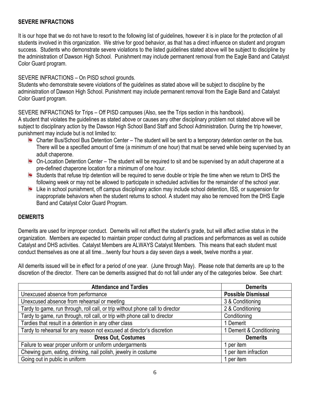#### **SEVERE INFRACTIONS**

It is our hope that we do not have to resort to the following list of guidelines, however it is in place for the protection of all students involved in this organization. We strive for good behavior, as that has a direct influence on student and program success. Students who demonstrate severe violations to the listed guidelines stated above will be subject to discipline by the administration of Dawson High School. Punishment may include permanent removal from the Eagle Band and Catalyst Color Guard program.

#### SEVERE INFRACTIONS – On PISD school grounds.

Students who demonstrate severe violations of the guidelines as stated above will be subject to discipline by the administration of Dawson High School. Punishment may include permanent removal from the Eagle Band and Catalyst Color Guard program.

SEVERE INFRACTIONS for Trips – Off PISD campuses (Also, see the Trips section in this handbook).

A student that violates the guidelines as stated above or causes any other disciplinary problem not stated above will be subject to disciplinary action by the Dawson High School Band Staff and School Administration. During the trip however, punishment may include but is not limited to:

- **E.** Charter Bus/School Bus Detention Center The student will be sent to a temporary detention center on the bus. There will be a specified amount of time (a minimum of one hour) that must be served while being supervised by an adult chaperone.
- $\blacksquare$  On-Location Detention Center The student will be required to sit and be supervised by an adult chaperone at a pre-defined chaperone location for a minimum of one hour.
- Students that refuse trip detention will be required to serve double or triple the time when we return to DHS the following week or may not be allowed to participate in scheduled activities for the remainder of the school year.
- Like in school punishment, off campus disciplinary action may include school detention, ISS, or suspension for inappropriate behaviors when the student returns to school. A student may also be removed from the DHS Eagle Band and Catalyst Color Guard Program.

#### **DEMERITS**

Demerits are used for improper conduct. Demerits will not affect the student's grade, but will affect active status in the organization. Members are expected to maintain proper conduct during all practices and performances as well as outside Catalyst and DHS activities. Catalyst Members are ALWAYS Catalyst Members. This means that each student must conduct themselves as one at all time…twenty four hours a day seven days a week, twelve months a year.

All demerits issued will be in effect for a period of one year. (June through May). Please note that demerits are up to the discretion of the director. There can be demerits assigned that do not fall under any of the categories below. See chart:

| <b>Attendance and Tardies</b>                                                 | <b>Demerits</b>           |
|-------------------------------------------------------------------------------|---------------------------|
| Unexcused absence from performance                                            | <b>Possible Dismissal</b> |
| Unexcused absence from rehearsal or meeting                                   | 3 & Conditioning          |
| Tardy to game, run through, roll call, or trip without phone call to director | 2 & Conditioning          |
| Tardy to game, run through, roll call, or trip with phone call to director    | Conditioning              |
| Tardies that result in a detention in any other class                         | 1 Demerit                 |
| Tardy to rehearsal for any reason not excused at director's discretion        | 1 Demerit & Conditioning  |
| <b>Dress Out, Costumes</b>                                                    | <b>Demerits</b>           |
| Failure to wear proper uniform or uniform undergarments                       | 1 per item                |
| Chewing gum, eating, drinking, nail polish, jewelry in costume                | 1 per item infraction     |
| Going out in public in uniform                                                | 1 per item                |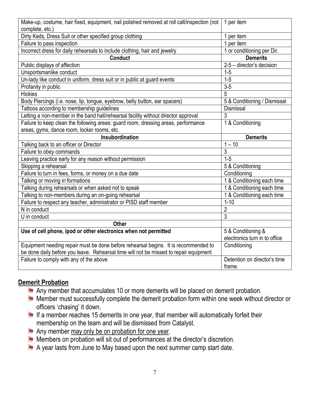| Make-up, costume, hair fixed, equipment, nail polished removed at roll call/inspection (not<br>complete, etc.) | 1 per item                    |
|----------------------------------------------------------------------------------------------------------------|-------------------------------|
| Dirty Keds, Dress Suit or other specified group clothing                                                       | 1 per item                    |
| Failure to pass inspection                                                                                     | 1 per item                    |
| Incorrect dress for daily rehearsals to include clothing, hair and jewelry                                     | 1 or conditioning per Dir.    |
| <b>Conduct</b>                                                                                                 | <b>Demerits</b>               |
| Public displays of affection                                                                                   | 2-5 - director's decision     |
| Unsportsmanlike conduct                                                                                        | $1 - 5$                       |
| Un-lady like conduct in uniform, dress suit or in public at guard events                                       | $1 - 5$                       |
| Profanity in public                                                                                            | $3 - 5$                       |
| <b>Hickies</b>                                                                                                 | 5                             |
| Body Piercings (i.e. nose, lip, tongue, eyebrow, belly button, ear spacers)                                    | 5 & Conditioning / Dismissal  |
| Tattoos according to membership guidelines                                                                     | <b>Dismissal</b>              |
| Letting a non-member in the band hall/rehearsal facility without director approval                             | 3                             |
| Failure to keep clean the following areas: guard room, dressing areas, performance                             | 1 & Conditioning              |
| areas, gyms, dance room, locker rooms, etc.                                                                    |                               |
| Insubordination                                                                                                | <b>Demerits</b>               |
| Talking back to an officer or Director                                                                         | $1 - 10$                      |
| Failure to obey commands                                                                                       | $\overline{3}$                |
| Leaving practice early for any reason without permission                                                       | $1 - 5$                       |
|                                                                                                                |                               |
| Skipping a rehearsal                                                                                           | 5 & Conditioning              |
| Failure to turn in fees, forms, or money on a due date                                                         | Conditioning                  |
| Talking or moving in formations                                                                                | 1 & Conditioning each time    |
| Talking during rehearsals or when asked not to speak                                                           | 1 & Conditioning each time    |
| Talking to non-members during an on-going rehearsal                                                            | 1 & Conditioning each time    |
| Failure to respect any teacher, administrator or PISD staff member                                             | $1 - 10$                      |
| N in conduct                                                                                                   | $\overline{c}$                |
| U in conduct                                                                                                   | 3                             |
| <b>Other</b>                                                                                                   |                               |
| Use of cell phone, ipod or other electronics when not permitted                                                | 5 & Conditioning &            |
|                                                                                                                | electronics turn in to office |
| Equipment needing repair must be done before rehearsal begins. It is recommended to                            | Conditioning                  |
| be done daily before you leave. Rehearsal time will not be missed to repair equipment                          |                               |
| Failure to comply with any of the above                                                                        | Detention on director's time  |

#### **Demerit Probation**

- Any member that accumulates 10 or more demerits will be placed on demerit probation.
- Member must successfully complete the demerit probation form within one week without director or officers 'chasing' it down.
- If a member reaches 15 demerits in one year, that member will automatically forfeit their membership on the team and will be dismissed from Catalyst.
- Any member may only be on probation for one year.
- **Members on probation will sit out of performances at the director's discretion.**
- A year lasts from June to May based upon the next summer camp start date.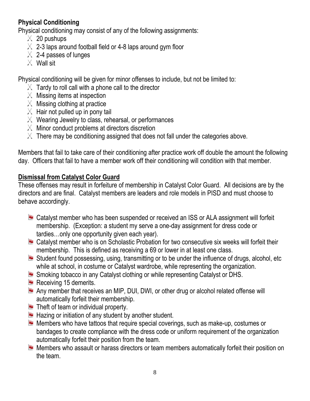## **Physical Conditioning**

Physical conditioning may consist of any of the following assignments:

- $\times$  20 pushups
- $\%$  2-3 laps around football field or 4-8 laps around gym floor
- $\%$  2-4 passes of lunges
- $\mathbb{X}$  Wall sit

Physical conditioning will be given for minor offenses to include, but not be limited to:

- $\mathbb{X}$  Tardy to roll call with a phone call to the director
- $\mathbb{X}$  Missing items at inspection
- $\mathbb{X}$  Missing clothing at practice
- $\mathbb{X}$  Hair not pulled up in pony tail
- $\chi$  Wearing Jewelry to class, rehearsal, or performances
- $\mathbb{X}$  Minor conduct problems at directors discretion
- $\%$  There may be conditioning assigned that does not fall under the categories above.

Members that fail to take care of their conditioning after practice work off double the amount the following day. Officers that fail to have a member work off their conditioning will condition with that member.

## **Dismissal from Catalyst Color Guard**

These offenses may result in forfeiture of membership in Catalyst Color Guard. All decisions are by the directors and are final. Catalyst members are leaders and role models in PISD and must choose to behave accordingly.

- **E.** Catalyst member who has been suspended or received an ISS or ALA assignment will forfeit membership. (Exception: a student my serve a one-day assignment for dress code or tardies…only one opportunity given each year).
- **E** Catalyst member who is on Scholastic Probation for two consecutive six weeks will forfeit their membership. This is defined as receiving a 69 or lower in at least one class.
- $\blacktriangleright$  Student found possessing, using, transmitting or to be under the influence of drugs, alcohol, etc while at school, in costume or Catalyst wardrobe, while representing the organization.
- **E.** Smoking tobacco in any Catalyst clothing or while representing Catalyst or DHS.
- $\blacksquare$  Receiving 15 demerits.
- Any member that receives an MIP, DUI, DWI, or other drug or alcohol related offense will automatically forfeit their membership.
- $\blacksquare$  Theft of team or individual property.
- $\blacksquare$  Hazing or initiation of any student by another student.
- **Members who have tattoos that require special coverings, such as make-up, costumes or** bandages to create compliance with the dress code or uniform requirement of the organization automatically forfeit their position from the team.
- Members who assault or harass directors or team members automatically forfeit their position on the team.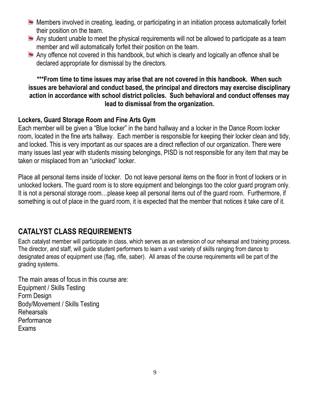- **Members involved in creating, leading, or participating in an initiation process automatically forfeit** their position on the team.
- Any student unable to meet the physical requirements will not be allowed to participate as a team member and will automatically forfeit their position on the team.
- Any offence not covered in this handbook, but which is clearly and logically an offence shall be declared appropriate for dismissal by the directors.

#### **\*\*\*From time to time issues may arise that are not covered in this handbook. When such issues are behavioral and conduct based, the principal and directors may exercise disciplinary action in accordance with school district policies. Such behavioral and conduct offenses may lead to dismissal from the organization.**

#### **Lockers, Guard Storage Room and Fine Arts Gym**

Each member will be given a "Blue locker" in the band hallway and a locker in the Dance Room locker room, located in the fine arts hallway. Each member is responsible for keeping their locker clean and tidy, and locked. This is very important as our spaces are a direct reflection of our organization. There were many issues last year with students missing belongings, PISD is not responsible for any item that may be taken or misplaced from an "unlocked" locker.

Place all personal items inside of locker. Do not leave personal items on the floor in front of lockers or in unlocked lockers. The guard room is to store equipment and belongings too the color guard program only. It is not a personal storage room…please keep all personal items out of the guard room. Furthermore, if something is out of place in the guard room, it is expected that the member that notices it take care of it.

## **CATALYST CLASS REQUIREMENTS**

Each catalyst member will participate in class, which serves as an extension of our rehearsal and training process. The director, and staff, will guide student performers to learn a vast variety of skills ranging from dance to designated areas of equipment use (flag, rifle, saber). All areas of the course requirements will be part of the grading systems.

The main areas of focus in this course are: Equipment / Skills Testing Form Design Body/Movement / Skills Testing Rehearsals **Performance** Exams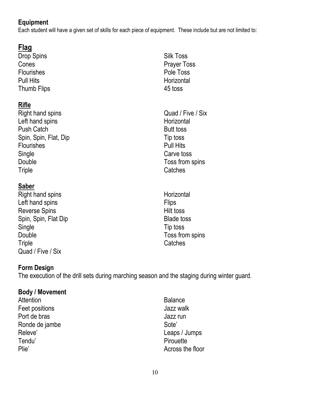## **Equipment**

Each student will have a given set of skills for each piece of equipment. These include but are not limited to:

## **Flag**

Drop Spins Cones **Flourishes** Pull Hits Thumb Flips

## **Rifle**

Right hand spins Left hand spins Push Catch Spin, Spin, Flat, Dip **Flourishes Single** Double **Triple** 

## **Saber**

Right hand spins Left hand spins Reverse Spins Spin, Spin, Flat Dip **Single** Double **Triple** Quad / Five / Six

- Silk Toss Prayer Toss Pole Toss **Horizontal** 45 toss
- Quad / Five / Six **Horizontal** Butt toss Tip toss Pull Hits Carve toss Toss from spins Catches
- **Horizontal Flips** Hilt toss Blade toss Tip toss Toss from spins **Catches**

## **Form Design**

The execution of the drill sets during marching season and the staging during winter guard.

## **Body / Movement**

**Attention** Feet positions Port de bras Ronde de jambe Releve' Tendu' Plie'

**Balance** Jazz walk Jazz run Sote' Leaps / Jumps **Pirouette** Across the floor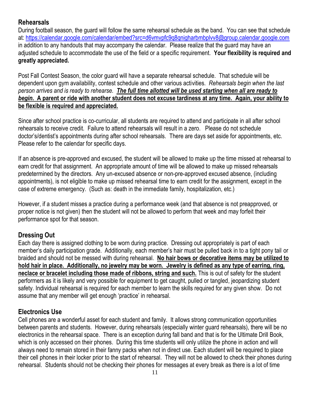### **Rehearsals**

During football season, the guard will follow the same rehearsal schedule as the band. You can see that schedule at:<https://calendar.google.com/calendar/embed?src=d6vmvpfc9q8qnigharbmbplvv8@group.calendar.google.com> in addition to any handouts that may accompany the calendar. Please realize that the guard may have an adjusted schedule to accommodate the use of the field or a specific requirement. **Your flexibility is required and greatly appreciated.**

Post Fall Contest Season, the color guard will have a separate rehearsal schedule. That schedule will be dependent upon gym availability, contest schedule and other various activities. *Rehearsals begin when the last person arrives and is ready to rehearse. The full time allotted will be used starting when all are ready to begin***. A parent or ride with another student does not excuse tardiness at any time. Again, your ability to be flexible is required and appreciated.**

Since after school practice is co-curricular, all students are required to attend and participate in all after school rehearsals to receive credit. Failure to attend rehearsals will result in a zero. Please do not schedule doctor's/dentist's appointments during after school rehearsals. There are days set aside for appointments, etc. Please refer to [the](http://www.dawsoneagleband.org/) calendar for specific days.

If an absence is pre-approved and excused, the student will be allowed to make up the time missed at rehearsal to earn credit for that assignment. An appropriate amount of time will be allowed to make up missed rehearsals predetermined by the directors. Any un-excused absence or non-pre-approved excused absence, (including appointments), is not eligible to make up missed rehearsal time to earn credit for the assignment, except in the case of extreme emergency. (Such as: death in the immediate family, hospitalization, etc.)

However, if a student misses a practice during a performance week (and that absence is not preapproved, or proper notice is not given) then the student will not be allowed to perform that week and may forfeit their performance spot for that season.

## **Dressing Out**

Each day there is assigned clothing to be worn during practice. Dressing out appropriately is part of each member's daily participation grade. Additionally, each member's hair must be pulled back in to a tight pony tail or braided and should not be messed with during rehearsal. **No hair bows or decorative items may be utilized to hold hair in place. Additionally, no jewelry may be worn. Jewelry is defined as any type of earring, ring, neclace or bracelet including those made of ribbons, string and such.** This is out of safety for the student performers as it is likely and very possible for equipment to get caught, pulled or tangled, jeopardizing student safety. Individual rehearsal is required for each member to learn the skills required for any given show. Do not assume that any member will get enough 'practice' in rehearsal.

## **Electronics Use**

Cell phones are a wonderful asset for each student and family. It allows strong communication opportunities between parents and students. However, during rehearsals (especially winter guard rehearsals), there will be no electronics in the rehearsal space. There is an exception during fall band and that is for the Ultimate Drill Book, which is only accessed on their phones. During this time students will only utilize the phone in action and will always need to remain stored in their fanny packs when not in direct use. Each student will be required to place their cell phones in their locker prior to the start of rehearsal. They will not be allowed to check their phones during rehearsal. Students should not be checking their phones for messages at every break as there is a lot of time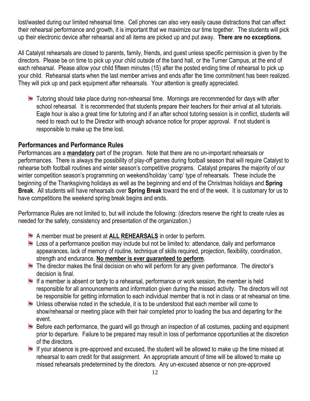lost/wasted during our limited rehearsal time. Cell phones can also very easily cause distractions that can affect their rehearsal performance and growth, it is important that we maximize our time together. The students will pick up their electronic device after rehearsal and all items are picked up and put away. **There are no exceptions.**

All Catalyst rehearsals are closed to parents, family, friends, and guest unless specific permission is given by the directors. Please be on time to pick up your child outside of the band hall, or the Turner Campus, at the end of each rehearsal. Please allow your child fifteen minutes (15) after the posted ending time of rehearsal to pick up your child. Rehearsal starts when the last member arrives and ends after the time commitment has been realized. They will pick up and pack equipment after rehearsals. Your attention is greatly appreciated.

**Tutoring should take place during non-rehearsal time. Mornings are recommended for days with after** school rehearsal. It is recommended that students prepare their teachers for their arrival at all tutorials. Eagle hour is also a great time for tutoring and if an after school tutoring session is in conflict, students will need to reach out to the Director with enough advance notice for proper approval. If not student is responsible to make up the time lost.

#### **Performances and Performance Rules**

Performances are a **mandatory** part of the program. Note that there are no un-important rehearsals or performances. There is always the possibility of play-off games during football season that will require Catalyst to rehearse both football routines and winter season's competitive programs. Catalyst prepares the majority of our winter competition season's programming on weekend/holiday 'camp' type of rehearsals. These include the beginning of the Thanksgiving holidays as well as the beginning and end of the Christmas holidays and **Spring Break**. All students will have rehearsals over **Spring Break** toward the end of the week. It is customary for us to have competitions the weekend spring break begins and ends.

Performance Rules are not limited to, but will include the following: (directors reserve the right to create rules as needed for the safety, consistency and presentation of the organization.)

- A member must be present at **ALL REHEARSALS** in order to perform.
- Loss of a performance position may include but not be limited to: attendance, daily and performance appearances, lack of memory of routine, technique of skills required, projection, flexibility, coordination, strength and endurance. **No member is ever guaranteed to perform**.
- $\blacksquare$  The director makes the final decision on who will perform for any given performance. The director's decision is final.
- If a member is absent or tardy to a rehearsal, performance or work session, the member is held responsible for all announcements and information given during the missed activity. The directors will not be responsible for getting information to each individual member that is not in class or at rehearsal on time.
- $\blacksquare$  Unless otherwise noted in the schedule, it is to be understood that each member will come to show/rehearsal or meeting place with their hair completed prior to loading the bus and departing for the event.
- Before each performance, the guard will go through an inspection of all costumes, packing and equipment prior to departure. Failure to be prepared may result in loss of performance opportunities at the discretion of the directors.
- If your absence is pre-approved and excused, the student will be allowed to make up the time missed at rehearsal to earn credit for that assignment. An appropriate amount of time will be allowed to make up missed rehearsals predetermined by the directors. Any un-excused absence or non pre-approved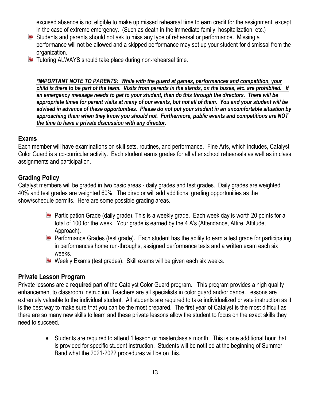excused absence is not eligible to make up missed rehearsal time to earn credit for the assignment, except in the case of extreme emergency. (Such as death in the immediate family, hospitalization, etc.)

- **E** Students and parents should not ask to miss any type of rehearsal or performance. Missing a performance will not be allowed and a skipped performance may set up your student for dismissal from the organization.
- **Tutoring ALWAYS should take place during non-rehearsal time.**

*\*IMPORTANT NOTE TO PARENTS: While with the guard at games, performances and competition, your child is there to be part of the team. Visits from parents in the stands, on the buses, etc. are prohibited. If an emergency message needs to get to your student, then do this through the directors. There will be appropriate times for parent visits at many of our events, but not all of them. You and your student will be advised in advance of these opportunities. Please do not put your student in an uncomfortable situation by approaching them when they know you should not. Furthermore, public events and competitions are NOT the time to have a private discussion with any director*.

#### **Exams**

Each member will have examinations on skill sets, routines, and performance. Fine Arts, which includes, Catalyst Color Guard is a co-curricular activity. Each student earns grades for all after school rehearsals as well as in class assignments and participation.

#### **Grading Policy**

Catalyst members will be graded in two basic areas - daily grades and test grades. Daily grades are weighted 40% and test grades are weighted 60%. The director will add additional grading opportunities as the show/schedule permits. Here are some possible grading areas.

- **Participation Grade (daily grade). This is a weekly grade. Each week day is worth 20 points for a** total of 100 for the week. Your grade is earned by the 4 A's (Attendance, Attire, Attitude, Approach).
- **Part Performance Grades (test grade). Each student has the ability to earn a test grade for participating** in performances home run-throughs, assigned performance tests and a written exam each six weeks.
- **E** Weekly Exams (test grades). Skill exams will be given each six weeks.

#### **Private Lesson Program**

Private lessons are a **required** part of the Catalyst Color Guard program. This program provides a high quality enhancement to classroom instruction. Teachers are all specialists in color guard and/or dance. Lessons are extremely valuable to the individual student. All students are required to take individualized private instruction as it is the best way to make sure that you can be the most prepared. The first year of Catalyst is the most difficult as there are so many new skills to learn and these private lessons allow the student to focus on the exact skills they need to succeed.

• Students are required to attend 1 lesson or masterclass a month. This is one additional hour that is provided for specific student instruction. Students will be notified at the beginning of Summer Band what the 2021-2022 procedures will be on this.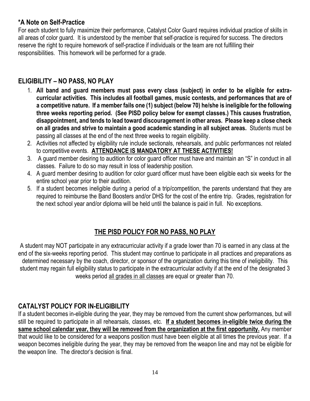#### **\*A Note on Self-Practice**

For each student to fully maximize their performance, Catalyst Color Guard requires individual practice of skills in all areas of color guard. It is understood by the member that self-practice is required for success. The directors reserve the right to require homework of self-practice if individuals or the team are not fulfilling their responsibilities. This homework will be performed for a grade.

## **ELIGIBILITY – NO PASS, NO PLAY**

- 1. **All band and guard members must pass every class (subject) in order to be eligible for extracurricular activities. This includes all football games, music contests, and performances that are of a competitive nature. If a member fails one (1) subject (below 70) he/she is ineligible for the following three weeks reporting period. (See PISD policy below for exempt classes.) This causes frustration, disappointment, and tends to lead toward discouragement in other areas. Please keep a close check on all grades and strive to maintain a good academic standing in all subject areas.** Students must be passing all classes at the end of the next three weeks to regain eligibility.
- 2. Activities not affected by eligibility rule include sectionals, rehearsals, and public performances not related to competitive events. **ATTENDANCE IS MANDATORY AT THESE ACTIVITIES!**
- 3. A guard member desiring to audition for color guard officer must have and maintain an "S" in conduct in all classes. Failure to do so may result in loss of leadership position.
- 4. A guard member desiring to audition for color guard officer must have been eligible each six weeks for the entire school year prior to their audition.
- 5. If a student becomes ineligible during a period of a trip/competition, the parents understand that they are required to reimburse the Band Boosters and/or DHS for the cost of the entire trip. Grades, registration for the next school year and/or diploma will be held until the balance is paid in full. No exceptions.

## **THE PISD POLICY FOR NO PASS, NO PLAY**

A student may NOT participate in any extracurricular activity if a grade lower than 70 is earned in any class at the end of the six-weeks reporting period. This student may continue to participate in all practices and preparations as determined necessary by the coach, director, or sponsor of the organization during this time of ineligibility. This student may regain full eligibility status to participate in the extracurricular activity if at the end of the designated 3 weeks period all grades in all classes are equal or greater than 70.

#### **CATALYST POLICY FOR IN-ELIGIBILITY**

If a student becomes in-eligible during the year, they may be removed from the current show performances, but will still be required to participate in all rehearsals, classes, etc. **If a student becomes in-eligible twice during the same school calendar year, they will be removed from the organization at the first opportunity.** Any member that would like to be considered for a weapons position must have been eligible at all times the previous year. If a weapon becomes ineligible during the year, they may be removed from the weapon line and may not be eligible for the weapon line. The director's decision is final.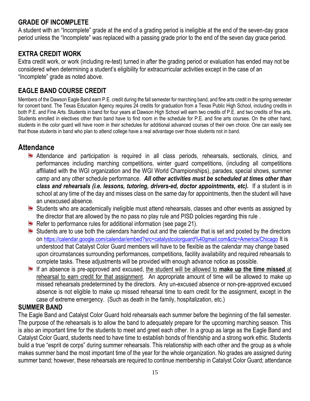### **GRADE OF INCOMPLETE**

A student with an "Incomplete" grade at the end of a grading period is ineligible at the end of the seven-day grace period unless the "Incomplete" was replaced with a passing grade prior to the end of the seven day grace period.

### **EXTRA CREDIT WORK**

Extra credit work, or work (including re-test) turned in after the grading period or evaluation has ended may not be considered when determining a student's eligibility for extracurricular activities except in the case of an "Incomplete" grade as noted above.

## **EAGLE BAND COURSE CREDIT**

Members of the Dawson Eagle Band earn P.E. credit during the fall semester for marching band, and fine arts credit in the spring semester for concert band. The Texas Education Agency requires 24 credits for graduation from a Texas Public High School, including credits in both P.E. and Fine Arts. Students in band for four years at Dawson High School will earn two credits of P.E. and two credits of fine arts. Students enrolled in electives other than band have to find room in the schedule for P.E. and fine arts courses. On the other hand, students in the color guard will have room in their schedules for additional advanced courses of their own choice. One can easily see that those students in band who plan to attend college have a real advantage over those students not in band.

## **Attendance**

- **Attendance and participation is required in all class periods, rehearsals, sectionals, clinics, and** performances including marching competitions, winter guard competitions, (including all competitions affiliated with the WGI organization and the WGI World Championships), parades, special shows, summer camp and any other schedule performance. *All other activities must be scheduled at times other than class and rehearsals (i.e. lessons, tutoring, drivers-ed, doctor appointments, etc).* If a student is in school at any time of the day and misses class on the same day for appointments, then the student will have an unexcused absence.
- **E** Students who are academically ineligible must attend rehearsals, classes and other events as assigned by the director that are allowed by the no pass no play rule and PISD policies regarding this rule .
- **Refer to performance rules for additional information (see page 21).**
- **E** Students are to use both the calendars handed out and the calendar that is set and posted by the directors on <https://calendar.google.com/calendar/embed?src=catalystcolorguard%40gmail.com&ctz=America/Chicago> It is understood that Catalyst Color Guard members will have to be flexible as the calendar may change based upon circumstances surrounding performances, competitions, facility availability and required rehearsals to complete tasks. These adjustments will be provided with enough advance notice as possible.
- If an absence is pre-approved and excused, the student will be allowed to **make up the time missed** at rehearsal to earn credit for that assignment. An appropriate amount of time will be allowed to make up missed rehearsals predetermined by the directors. Any un-excused absence or non-pre-approved excused absence is not eligible to make up missed rehearsal time to earn credit for the assignment, except in the case of extreme emergency. (Such as death in the family, hospitalization, etc.)

#### **SUMMER BAND**

The Eagle Band and Catalyst Color Guard hold rehearsals each summer before the beginning of the fall semester. The purpose of the rehearsals is to allow the band to adequately prepare for the upcoming marching season. This is also an important time for the students to meet and greet each other. In a group as large as the Eagle Band and Catalyst Color Guard, students need to have time to establish bonds of friendship and a strong work ethic. Students build a true "esprit de corps" during summer rehearsals. This relationship with each other and the group as a whole makes summer band the most important time of the year for the whole organization. No grades are assigned during summer band; however, these rehearsals are required to continue membership in Catalyst Color Guard; attendance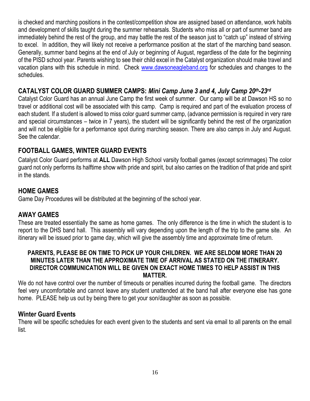is checked and marching positions in the contest/competition show are assigned based on attendance, work habits and development of skills taught during the summer rehearsals. Students who miss all or part of summer band are immediately behind the rest of the group, and may battle the rest of the season just to "catch up" instead of striving to excel. In addition, they will likely not receive a performance position at the start of the marching band season. Generally, summer band begins at the end of July or beginning of August, regardless of the date for the beginning of the PISD school year. Parents wishing to see their child excel in the Catalyst organization should make travel and vacation plans with this schedule in mind. Check [www.dawsoneagleband.org](http://www.dawsoneagleband.org/) for schedules and changes to the schedules.

#### **CATALYST COLOR GUARD SUMMER CAMPS:** *Mini Camp June 3 and 4, July Camp 20th-23rd*

Catalyst Color Guard has an annual June Camp the first week of summer. Our camp will be at Dawson HS so no travel or additional cost will be associated with this camp. Camp is required and part of the evaluation process of each student. If a student is allowed to miss color guard summer camp, (advance permission is required in very rare and special circumstances – twice in 7 years), the student will be significantly behind the rest of the organization and will not be eligible for a performance spot during marching season. There are also camps in July and August. See the calendar.

### **FOOTBALL GAMES, WINTER GUARD EVENTS**

Catalyst Color Guard performs at **ALL** Dawson High School varsity football games (except scrimmages) The color guard not only performs its halftime show with pride and spirit, but also carries on the tradition of that pride and spirit in the stands.

#### **HOME GAMES**

Game Day Procedures will be distributed at the beginning of the school year.

#### **AWAY GAMES**

These are treated essentially the same as home games. The only difference is the time in which the student is to report to the DHS band hall. This assembly will vary depending upon the length of the trip to the game site. An itinerary will be issued prior to game day, which will give the assembly time and approximate time of return.

#### **PARENTS, PLEASE BE ON TIME TO PICK UP YOUR CHILDREN. WE ARE SELDOM MORE THAN 20 MINUTES LATER THAN THE APPROXIMATE TIME OF ARRIVAL AS STATED ON THE ITINERARY. DIRECTOR COMMUNICATION WILL BE GIVEN ON EXACT HOME TIMES TO HELP ASSIST IN THIS MATTER.**

We do not have control over the number of timeouts or penalties incurred during the football game. The directors feel very uncomfortable and cannot leave any student unattended at the band hall after everyone else has gone home. PLEASE help us out by being there to get your son/daughter as soon as possible.

#### **Winter Guard Events**

There will be specific schedules for each event given to the students and sent via email to all parents on the email list.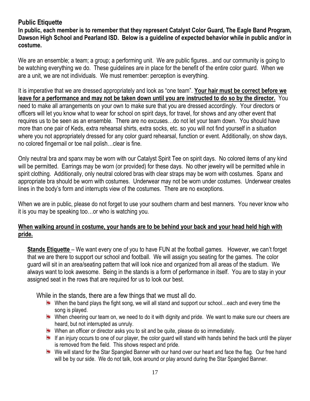#### **Public Etiquette**

**In public, each member is to remember that they represent Catalyst Color Guard, The Eagle Band Program, Dawson High School and Pearland ISD. Below is a guideline of expected behavior while in public and/or in costume.**

We are an ensemble; a team; a group; a performing unit. We are public figures...and our community is going to be watching everything we do. These guidelines are in place for the benefit of the entire color guard. When we are a unit, we are not individuals. We must remember: perception is everything.

It is imperative that we are dressed appropriately and look as "one team". **Your hair must be correct before we leave for a performance and may not be taken down until you are instructed to do so by the director.** You need to make all arrangements on your own to make sure that you are dressed accordingly. Your directors or officers will let you know what to wear for school on spirit days, for travel, for shows and any other event that requires us to be seen as an ensemble. There are no excuses…do not let your team down. You should have more than one pair of Keds, extra rehearsal shirts, extra socks, etc. so you will not find yourself in a situation where you not appropriately dressed for any color guard rehearsal, function or event. Additionally, on show days, no colored fingernail or toe nail polish…clear is fine.

Only neutral bra and spanx may be worn with our Catalyst Spirit Tee on spirit days. No colored items of any kind will be permitted. Earrings may be worn (or provided) for these days. No other jewelry will be permitted while in spirit clothing. Additionally, only neutral colored bras with clear straps may be worn with costumes. Spanx and appropriate bra should be worn with costumes. Underwear may not be worn under costumes. Underwear creates lines in the body's form and interrupts view of the costumes. There are no exceptions.

When we are in public, please do not forget to use your southern charm and best manners. You never know who it is you may be speaking too…or who is watching you.

#### **When walking around in costume, your hands are to be behind your back and your head held high with pride.**

**Stands Etiquette** – We want every one of you to have FUN at the football games. However, we can't forget that we are there to support our school and football. We will assign you seating for the games. The color guard will sit in an area/seating pattern that will look nice and organized from all areas of the stadium. We always want to look awesome. Being in the stands is a form of performance in itself. You are to stay in your assigned seat in the rows that are required for us to look our best.

While in the stands, there are a few things that we must all do.

- When the band plays the fight song, we will all stand and support our school…each and every time the song is played.
- When cheering our team on, we need to do it with dignity and pride. We want to make sure our cheers are heard, but not interrupted as unruly.
- When an officer or director asks you to sit and be quite, please do so immediately.
- If an injury occurs to one of our player, the color guard will stand with hands behind the back until the player is removed from the field. This shows respect and pride.
- We will stand for the Star Spangled Banner with our hand over our heart and face the flag. Our free hand will be by our side. We do not talk, look around or play around during the Star Spangled Banner.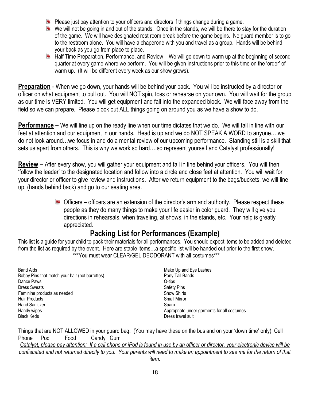- **P** Please just pay attention to your officers and directors if things change during a game.
- We will not be going in and out of the stands. Once in the stands, we will be there to stay for the duration of the game. We will have designated rest room break before the game begins. No guard member is to go to the restroom alone. You will have a chaperone with you and travel as a group. Hands will be behind your back as you go from place to place.
- Half Time Preparation, Performance, and Review We will go down to warm up at the beginning of second quarter at every game where we perform. You will be given instructions prior to this time on the 'order' of warm up. (It will be different every week as our show grows).

**Preparation** - When we go down, your hands will be behind your back. You will be instructed by a director or officer on what equipment to pull out. You will NOT spin, toss or rehearse on your own. You will wait for the group as our time is VERY limited. You will get equipment and fall into the expanded block. We will face away from the field so we can prepare. Please block out ALL things going on around you as we have a show to do.

**Performance** – We will line up on the ready line when our time dictates that we do. We will fall in line with our feet at attention and our equipment in our hands. Head is up and we do NOT SPEAK A WORD to anyone….we do not look around…we focus in and do a mental review of our upcoming performance. Standing still is a skill that sets us apart from others. This is why we work so hard….so represent yourself and Catalyst professionally!

**Review** – After every show, you will gather your equipment and fall in line behind your officers. You will then 'follow the leader' to the designated location and follow into a circle and close feet at attention. You will wait for your director or officer to give review and instructions. After we return equipment to the bags/buckets, we will line up, (hands behind back) and go to our seating area.

> $\blacksquare$  Officers – officers are an extension of the director's arm and authority. Please respect these people as they do many things to make your life easier in color guard. They will give you directions in rehearsals, when traveling, at shows, in the stands, etc. Your help is greatly appreciated.

## **Packing List for Performances (Example)**

This list is a guide for your child to pack their materials for all performances. You should expect items to be added and deleted from the list as required by the event. Here are staple items…a specific list will be handed out prior to the first show. \*\*\*You must wear CLEAR/GEL DEODORANT with all costumes\*\*\*

Band Aids Bobby Pins that match your hair (not barrettes) Dance Paws Dress Sweats Feminine products as needed Hair Products Hand Sanitizer Handy wipes Black Keds

Make Up and Eye Lashes Pony Tail Bands Q-tips Safety Pins Show Shirts Small Mirror Spanx Appropriate under garments for all costumes Dress travel suit

Things that are NOT ALLOWED in your guard bag: (You may have these on the bus and on your 'down time' only). Cell Phone iPod Food Candy Gum *Catalyst, please pay attention: If a cell phone or iPod is found in use by an officer or director, your electronic device will be confiscated and not returned directly to you. Your parents will need to make an appointment to see me for the return of that item.*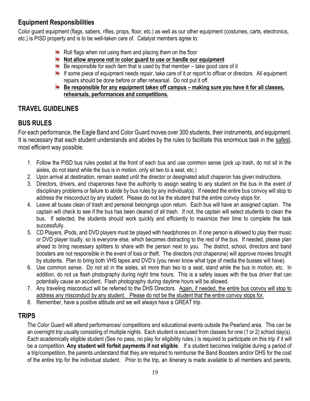## **Equipment Responsibilities**

Color guard equipment (flags, sabers, rifles, props, floor, etc.) as well as our other equipment (costumes, carts, electronics, etc.) is PISD property and is to be well-taken care of. Catalyst members agree to:

- **Roll flags when not using them and placing them on the floor**
- **Not allow anyone not in color guard to use or handle our equipment**
- $\blacksquare$  Be responsible for each item that is used by that member take good care of it
- If some piece of equipment needs repair, take care of it or report to officer or directors. All equipment repairs should be done before or after rehearsal. Do not put it off.
- **Be responsible for any equipment taken off campus making sure you have it for all classes, rehearsals, performances and competitions.**

## **TRAVEL GUIDELINES**

## **BUS RULES**

For each performance, the Eagle Band and Color Guard moves over 300 students, their instruments, and equipment. It is necessary that each student understands and abides by the rules to facilitate this enormous task in the safest, most efficient way possible.

- 1. Follow the PISD bus rules posted at the front of each bus and use common sense (pick up trash, do not sit in the aisles, do not stand while the bus is in motion, only sit two to a seat, etc.)
- 2. Upon arrival at destination, remain seated until the director or designated adult chaperon has given instructions.
- 3. Directors, drivers, and chaperones have the authority to assign seating to any student on the bus in the event of disciplinary problems or failure to abide by bus rules by any individual(s). If needed the entire bus convoy will stop to address the misconduct by any student. Please do not be the student that the entire convoy stops for.
- 4. Leave all buses clean of trash and personal belongings upon return. Each bus will have an assigned captain. The captain will check to see if the bus has been cleared of all trash. If not, the captain will select students to clean the bus. If selected, the students should work quickly and efficiently to maximize their time to complete the task successfully.
- 5. CD Players, iPods, and DVD players must be played with headphones on. If one person is allowed to play their music or DVD player loudly, so is everyone else, which becomes distracting to the rest of the bus. If needed, please plan ahead to bring necessary splitters to share with the person next to you. The district, school, directors and band boosters are not responsible in the event of loss or theft. The directors (not chaperone) will approve movies brought by students. Plan to bring both VHS tapes and DVD's (you never know what type of media the busses will have).
- 6. Use common sense. Do not sit in the aisles, sit more than two to a seat, stand while the bus in motion, etc. In addition, do not us flash photography during night time hours. This is a safety issues with the bus driver that can potentially cause an accident. Flash photography during daytime hours will be allowed.
- 7. Any traveling misconduct will be referred to the DHS Directors. Again, if needed, the entire bus convoy will stop to address any misconduct by any student. Please do not be the student that the entire convoy stops for.
- 8. Remember, have a positive attitude and we will always have a GREAT trip.

#### **TRIPS**

The Color Guard will attend performances/ competitions and educational events outside the Pearland area. This can be an overnight trip usually consisting of multiple nights. Each student is excused from classes for one (1 or 2) school day(s). Each academically eligible student (See no pass, no play for eligibility rules.) is required to participate on this trip if it will be a competition. **Any student will forfeit payments if not eligible**. If a student becomes ineligible during a period of a trip/competition, the parents understand that they are required to reimburse the Band Boosters and/or DHS for the cost of the entire trip for the individual student. Prior to the trip, an itinerary is made available to all members and parents,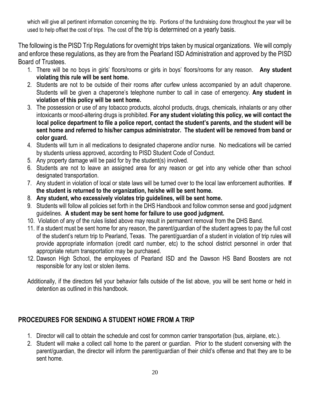which will give all pertinent information concerning the trip. Portions of the fundraising done throughout the year will be used to help offset the cost of trips. The cost of the trip is determined on a yearly basis.

The following is the PISD Trip Regulations for overnight trips taken by musical organizations. We will comply and enforce these regulations, as they are from the Pearland ISD Administration and approved by the PISD Board of Trustees.

- 1. There will be no boys in girls' floors/rooms or girls in boys' floors/rooms for any reason. **Any student violating this rule will be sent home.**
- 2. Students are not to be outside of their rooms after curfew unless accompanied by an adult chaperone. Students will be given a chaperone's telephone number to call in case of emergency. **Any student in violation of this policy will be sent home.**
- 3. The possession or use of any tobacco products, alcohol products, drugs, chemicals, inhalants or any other intoxicants or mood-altering drugs is prohibited. **For any student violating this policy, we will contact the local police department to file a police report, contact the student's parents, and the student will be sent home and referred to his/her campus administrator. The student will be removed from band or color guard.**
- 4. Students will turn in all medications to designated chaperone and/or nurse. No medications will be carried by students unless approved, according to PISD Student Code of Conduct.
- 5. Any property damage will be paid for by the student(s) involved.
- 6. Students are not to leave an assigned area for any reason or get into any vehicle other than school designated transportation.
- 7. Any student in violation of local or state laws will be turned over to the local law enforcement authorities. **If the student is returned to the organization, he/she will be sent home.**
- 8. **Any student, who excessively violates trip guidelines, will be sent home.**
- 9. Students will follow all policies set forth in the DHS Handbook and follow common sense and good judgment guidelines. **A student may be sent home for failure to use good judgment.**
- 10. Violation of any of the rules listed above may result in permanent removal from the DHS Band.
- 11. If a student must be sent home for any reason, the parent/guardian of the student agrees to pay the full cost of the student's return trip to Pearland, Texas. The parent/guardian of a student in violation of trip rules will provide appropriate information (credit card number, etc) to the school district personnel in order that appropriate return transportation may be purchased.
- 12. Dawson High School, the employees of Pearland ISD and the Dawson HS Band Boosters are not responsible for any lost or stolen items.
- Additionally, if the directors fell your behavior falls outside of the list above, you will be sent home or held in detention as outlined in this handbook.

## **PROCEDURES FOR SENDING A STUDENT HOME FROM A TRIP**

- 1. Director will call to obtain the schedule and cost for common carrier transportation (bus, airplane, etc.).
- 2. Student will make a collect call home to the parent or guardian. Prior to the student conversing with the parent/guardian, the director will inform the parent/guardian of their child's offense and that they are to be sent home.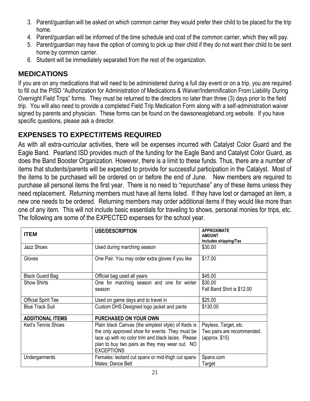- 3. Parent/guardian will be asked on which common carrier they would prefer their child to be placed for the trip home.
- 4. Parent/guardian will be informed of the time schedule and cost of the common carrier, which they will pay.
- 5. Parent/guardian may have the option of coming to pick up their child if they do not want their child to be sent home by common carrier.
- 6. Student will be immediately separated from the rest of the organization.

## **MEDICATIONS**

If you are on any medications that will need to be administered during a full day event or on a trip, you are required to fill out the PISD "Authorization for Administration of Medications & Waiver/Indemnification From Liability During Overnight Field Trips" forms. They must be returned to the directors no later than three (3) days prior to the field trip. You will also need to provide a completed Field Trip Medication Form along with a self-administration waiver signed by parents and physician. These forms can be found on the dawsoneagleband.org website. If you have specific questions, please ask a director.

## **EXPENSES TO EXPECT/ITEMS REQUIRED**

As with all extra-curricular activities, there will be expenses incurred with Catalyst Color Guard and the Eagle Band. Pearland ISD provides much of the funding for the Eagle Band and Catalyst Color Guard, as does the Band Booster Organization. However, there is a limit to these funds. Thus, there are a number of items that students/parents will be expected to provide for successful participation in the Catalyst. Most of the items to be purchased will be ordered on or before the end of June. New members are required to purchase all personal items the first year. There is no need to "repurchase" any of these items unless they need replacement. Returning members must have all items listed. If they have lost or damaged an item, a new one needs to be ordered. Returning members may order additional items if they would like more than one of any item. This will not include basic essentials for traveling to shows, personal monies for trips, etc. The following are some of the EXPECTED expenses for the school year.

| <b>ITEM</b>                | <b>USE/DESCRIPTION</b>                             | <b>APPROXIMATE</b><br><b>AMOUNT</b> |
|----------------------------|----------------------------------------------------|-------------------------------------|
|                            |                                                    | Includes shipping/Tax               |
| Jazz Shoes                 | Used during marching season                        | \$30.00                             |
| Gloves                     | One Pair. You may order extra gloves if you like   | \$17.00                             |
| <b>Black Guard Bag</b>     | Official bag used all years                        | \$45.00                             |
| <b>Show Shirts</b>         | One for marching season and one for winter         | \$30.00                             |
|                            | season                                             | Fall Band Shirt is \$12.00          |
| <b>Official Spirit Tee</b> | Used on game days and to travel in                 | \$25.00                             |
| <b>Blue Track Suit</b>     | Custom DHS Designed logo jacket and pants          | \$130.00                            |
| <b>ADDITIONAL ITEMS</b>    | <b>PURCHASED ON YOUR OWN</b>                       |                                     |
| Ked's Tennis Shoes         | Plain black Canvas (the simplest style) of Keds is | Payless, Target, etc.               |
|                            | the only approved shoe for events. They must be    | Two pairs are recommended.          |
|                            | lace up with no color trim and black laces. Please | (approx. \$15)                      |
|                            | plan to buy two pairs as they may wear out. NO     |                                     |
|                            | <b>EXCEPTIONS</b>                                  |                                     |
| Undergarments              | Females: leotard cut spanx or mid-thigh cut spanx  | Spanx.com                           |
|                            | Males: Dance Belt                                  | Target                              |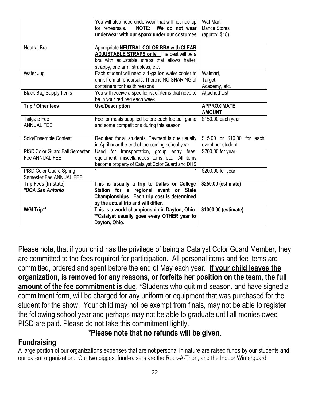|                                                         | You will also need underwear that will not ride up<br>NOTE: We do not wear<br>for rehearsals.<br>underwear with our spanx under our costumes                                                | Wal-Mart<br><b>Dance Stores</b><br>$\langle$ approx. \$18) |
|---------------------------------------------------------|---------------------------------------------------------------------------------------------------------------------------------------------------------------------------------------------|------------------------------------------------------------|
| <b>Neutral Bra</b>                                      | Appropriate <b>NEUTRAL COLOR BRA with CLEAR</b><br><b>ADJUSTABLE STRAPS only.</b> The best will be a<br>bra with adjustable straps that allows halter,<br>strappy, one arm, strapless, etc. |                                                            |
| Water Jug                                               | Each student will need a 1-gallon water cooler to<br>drink from at rehearsals. There is NO SHARING of<br>containers for health reasons                                                      | Walmart,<br>Target,<br>Academy, etc.                       |
| <b>Black Bag Supply Items</b>                           | You will receive a specific list of items that need to<br>be in your red bag each week.                                                                                                     | <b>Attached List</b>                                       |
| Trip / Other fees                                       | <b>Use/Description</b>                                                                                                                                                                      | <b>APPROXIMATE</b><br><b>AMOUNT</b>                        |
| Tailgate Fee<br><b>ANNUAL FEE</b>                       | Fee for meals supplied before each football game<br>and some competitions during this season.                                                                                               | \$150.00 each year                                         |
| Solo/Ensemble Contest                                   | Required for all students. Payment is due usually<br>in April near the end of the coming school year.                                                                                       | \$15.00 or \$10.00 for each<br>event per student           |
| <b>PISD Color Guard Fall Semester</b><br>Fee ANNUAL FEE | Used for transportation, group entry fees,<br>equipment, miscellaneous items, etc. All items<br>become property of Catalyst Color Guard and DHS                                             | \$200.00 for year                                          |
| PISD Color Guard Spring<br>Semester Fee ANNUAL FEE      |                                                                                                                                                                                             | \$200.00 for year                                          |
| Trip Fees (In-state)<br>*BOA San Antonio                | This is usually a trip to Dallas or College<br>Station for a regional event or State<br>Championships. Each trip cost is determined<br>by the actual trip and will differ.                  | \$250.00 (estimate)                                        |
| <b>WGI Trip**</b>                                       | This is a world championship in Dayton, Ohio.<br>** Catalyst usually goes every OTHER year to<br>Dayton, Ohio.                                                                              | \$1000.00 (estimate)                                       |

Please note, that if your child has the privilege of being a Catalyst Color Guard Member, they are committed to the fees required for participation. All personal items and fee items are committed, ordered and spent before the end of May each year. **If your child leaves the organization, is removed for any reasons, or forfeits her position on the team, the full amount of the fee commitment is due**. \*Students who quit mid season, and have signed a commitment form, will be charged for any uniform or equipment that was purchased for the student for the show. Your child may not be exempt from finals, may not be able to register the following school year and perhaps may not be able to graduate until all monies owed PISD are paid. Please do not take this commitment lightly.

## \***Please note that no refunds will be given**.

## **Fundraising**

A large portion of our organizations expenses that are not personal in nature are raised funds by our students and our parent organization. Our two biggest fund-raisers are the Rock-A-Thon, and the Indoor Winterguard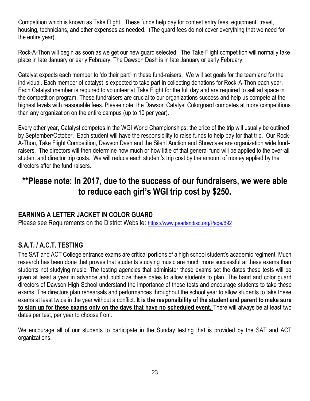Competition which is known as Take Flight. These funds help pay for contest entry fees, equipment, travel, housing, technicians, and other expenses as needed. (The guard fees do not cover everything that we need for the entire year).

Rock-A-Thon will begin as soon as we get our new guard selected. The Take Flight competition will normally take place in late January or early February. The Dawson Dash is in late January or early February.

Catalyst expects each member to 'do their part' in these fund-raisers. We will set goals for the team and for the individual. Each member of catalyst is expected to take part in collecting donations for Rock-A-Thon each year. Each Catalyst member is required to volunteer at Take Flight for the full day and are required to sell ad space in the competition program. These fundraisers are crucial to our organizations success and help us compete at the highest levels with reasonable fees. Please note: the Dawson Catalyst Colorguard competes at more competitions than any organization on the entire campus (up to 10 per year).

Every other year, Catalyst competes in the WGI World Championships; the price of the trip will usually be outlined by September/October. Each student will have the responsibility to raise funds to help pay for that trip. Our Rock-A-Thon, Take Flight Competition, Dawson Dash and the Silent Auction and Showcase are organization wide fundraisers. The directors will then determine how much or how little of that general fund will be applied to the over-all student and director trip costs. We will reduce each student's trip cost by the amount of money applied by the directors after the fund raisers.

## **\*\*Please note: In 2017, due to the success of our fundraisers, we were able to reduce each girl's WGI trip cost by \$250.**

## **EARNING A LETTER JACKET IN COLOR GUARD**

Please see Requirements on the District Website: <https://www.pearlandisd.org/Page/692>

## **S.A.T. / A.C.T. TESTING**

The SAT and ACT College entrance exams are critical portions of a high school student's academic regiment. Much research has been done that proves that students studying music are much more successful at these exams than students not studying music. The testing agencies that administer these exams set the dates these tests will be given at least a year in advance and publicize these dates to allow students to plan. The band and color guard directors of Dawson High School understand the importance of these tests and encourage students to take these exams. The directors plan rehearsals and performances throughout the school year to allow students to take these exams at least twice in the year without a conflict. **It is the responsibility of the student and parent to make sure to sign up for these exams only on the days that have no scheduled event.** There will always be at least two dates per test, per year to choose from.

We encourage all of our students to participate in the Sunday testing that is provided by the SAT and ACT organizations.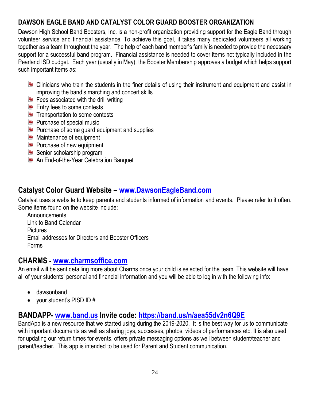## **DAWSON EAGLE BAND AND CATALYST COLOR GUARD BOOSTER ORGANIZATION**

Dawson High School Band Boosters, Inc. is a non-profit organization providing support for the Eagle Band through volunteer service and financial assistance. To achieve this goal, it takes many dedicated volunteers all working together as a team throughout the year. The help of each band member's family is needed to provide the necessary support for a successful band program. Financial assistance is needed to cover items not typically included in the Pearland ISD budget. Each year (usually in May), the Booster Membership approves a budget which helps support such important items as:

- **E.** Clinicians who train the students in the finer details of using their instrument and equipment and assist in improving the band's marching and concert skills
- $\blacksquare$  Fees associated with the drill writing
- Entry fees to some contests
- $\blacksquare$  Transportation to some contests
- **Purchase of special music**
- **Purchase of some guard equipment and supplies**
- **Maintenance of equipment**
- **Purchase of new equipment**
- Senior scholarship program
- **An End-of-the-Year Celebration Banquet**

## **Catalyst Color Guard Website – [www.DawsonEagleBand.com](http://www.dawsoneagleband.com/)**

Catalyst uses a website to keep parents and students informed of information and events. Please refer to it often. Some items found on the website include:

**Announcements** Link to Band Calendar **Pictures** Email addresses for Directors and Booster Officers Forms

## **CHARMS - [www.charmsoffice.com](http://www.charmsoffice.com/)**

An email will be sent detailing more about Charms once your child is selected for the team. This website will have all of your students' personal and financial information and you will be able to log in with the following info:

- dawsonband
- your student's PISD ID #

## **BANDAPP- [www.band.us](http://www.band.us/) Invite code:<https://band.us/n/aea55dv2n6Q9E>**

BandApp is a new resource that we started using during the 2019-2020. It is the best way for us to communicate with important documents as well as sharing joys, successes, photos, videos of performances etc. It is also used for updating our return times for events, offers private messaging options as well between student/teacher and parent/teacher. This app is intended to be used for Parent and Student communication.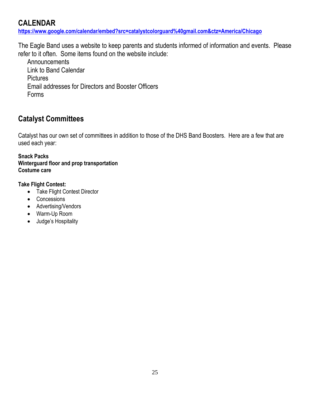## **CALENDAR**

**<https://www.google.com/calendar/embed?src=catalystcolorguard%40gmail.com&ctz=America/Chicago>**

The Eagle Band uses a website to keep parents and students informed of information and events. Please refer to it often. Some items found on the website include:

**Announcements** Link to Band Calendar **Pictures** Email addresses for Directors and Booster Officers Forms

## **Catalyst Committees**

Catalyst has our own set of committees in addition to those of the DHS Band Boosters. Here are a few that are used each year:

#### **Snack Packs Winterguard floor and prop transportation Costume care**

#### **Take Flight Contest:**

- Take Flight Contest Director
- Concessions
- Advertising/Vendors
- Warm-Up Room
- Judge's Hospitality